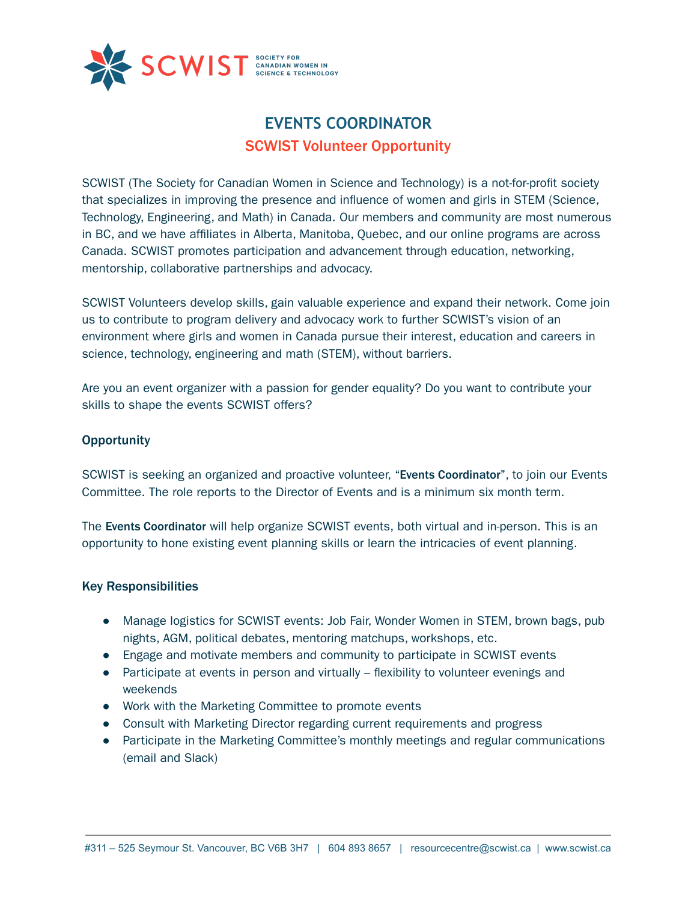

# **EVENTS COORDINATOR** SCWIST Volunteer Opportunity

SCWIST (The Society for Canadian Women in Science and Technology) is a not-for-profit society that specializes in improving the presence and influence of women and girls in STEM (Science, Technology, Engineering, and Math) in Canada. Our members and community are most numerous in BC, and we have affiliates in Alberta, Manitoba, Quebec, and our online programs are across Canada. SCWIST promotes participation and advancement through education, networking, mentorship, collaborative partnerships and advocacy.

SCWIST Volunteers develop skills, gain valuable experience and expand their network. Come join us to contribute to program delivery and advocacy work to further SCWIST's vision of an environment where girls and women in Canada pursue their interest, education and careers in science, technology, engineering and math (STEM), without barriers.

Are you an event organizer with a passion for gender equality? Do you want to contribute your skills to shape the events SCWIST offers?

# **Opportunity**

SCWIST is seeking an organized and proactive volunteer, "Events Coordinator", to join our Events Committee. The role reports to the Director of Events and is a minimum six month term.

The Events Coordinator will help organize SCWIST events, both virtual and in-person. This is an opportunity to hone existing event planning skills or learn the intricacies of event planning.

### Key Responsibilities

- Manage logistics for SCWIST events: Job Fair, Wonder Women in STEM, brown bags, pub nights, AGM, political debates, mentoring matchups, workshops, etc.
- Engage and motivate members and community to participate in SCWIST events
- Participate at events in person and virtually flexibility to volunteer evenings and weekends
- Work with the Marketing Committee to promote events
- Consult with Marketing Director regarding current requirements and progress
- Participate in the Marketing Committee's monthly meetings and regular communications (email and Slack)